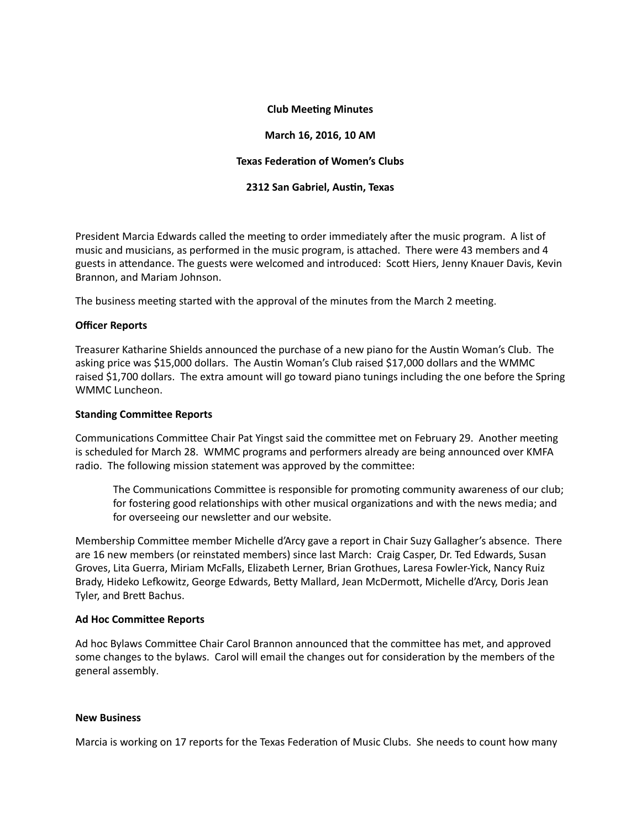## **Club Meeting Minutes**

#### **March 16, 2016, 10 AM**

## **Texas Federation of Women's Clubs**

## **2312 San Gabriel, Austin, Texas**

President Marcia Edwards called the meeting to order immediately after the music program. A list of music and musicians, as performed in the music program, is attached. There were 43 members and 4 guests in attendance. The guests were welcomed and introduced: Scott Hiers, Jenny Knauer Davis, Kevin Brannon, and Mariam Johnson.

The business meeting started with the approval of the minutes from the March 2 meeting.

## **Officer Reports**

Treasurer Katharine Shields announced the purchase of a new piano for the Austin Woman's Club. The asking price was \$15,000 dollars. The Austin Woman's Club raised \$17,000 dollars and the WMMC raised \$1,700 dollars. The extra amount will go toward piano tunings including the one before the Spring WMMC Luncheon.

#### **Standing Committee Reports**

Communications Committee Chair Pat Yingst said the committee met on February 29. Another meeting is scheduled for March 28. WMMC programs and performers already are being announced over KMFA radio. The following mission statement was approved by the committee:

The Communications Committee is responsible for promoting community awareness of our club; for fostering good relationships with other musical organizations and with the news media; and for overseeing our newsletter and our website.

Membership Committee member Michelle d'Arcy gave a report in Chair Suzy Gallagher's absence. There are 16 new members (or reinstated members) since last March: Craig Casper, Dr. Ted Edwards, Susan Groves, Lita Guerra, Miriam McFalls, Elizabeth Lerner, Brian Grothues, Laresa Fowler-Yick, Nancy Ruiz Brady, Hideko Lefkowitz, George Edwards, Betty Mallard, Jean McDermott, Michelle d'Arcy, Doris Jean Tyler, and Brett Bachus.

#### **Ad Hoc Committee Reports**

Ad hoc Bylaws Committee Chair Carol Brannon announced that the committee has met, and approved some changes to the bylaws. Carol will email the changes out for consideration by the members of the general assembly.

#### **New Business**

Marcia is working on 17 reports for the Texas Federation of Music Clubs. She needs to count how many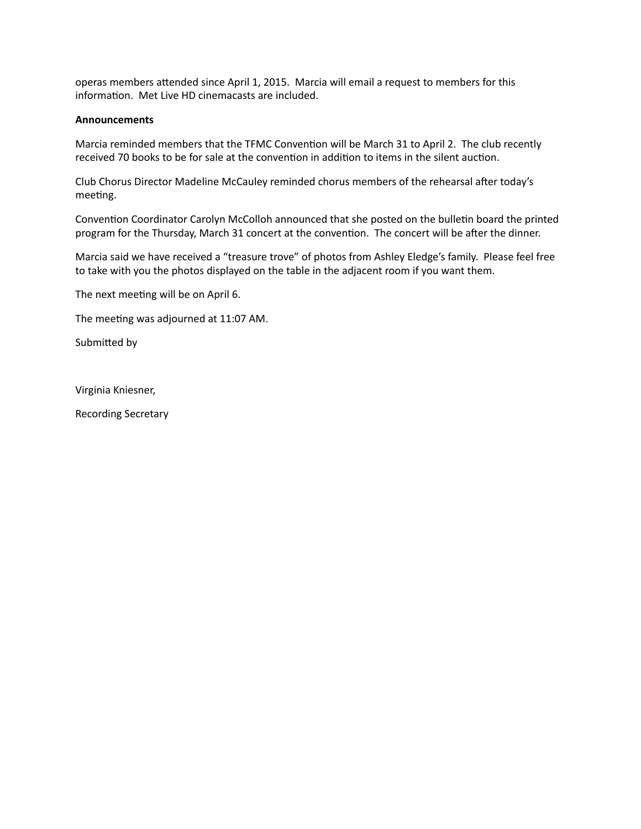operas members attended since April 1, 2015. Marcia will email a request to members for this information. Met Live HD cinemacasts are included.

#### **Announcements**

Marcia reminded members that the TFMC Convention will be March 31 to April 2. The club recently received 70 books to be for sale at the convention in addition to items in the silent auction.

Club Chorus Director Madeline McCauley reminded chorus members of the rehearsal after today's meeting.

Convention Coordinator Carolyn McColloh announced that she posted on the bulletin board the printed program for the Thursday, March 31 concert at the convention. The concert will be after the dinner.

Marcia said we have received a "treasure trove" of photos from Ashley Eledge's family. Please feel free to take with you the photos displayed on the table in the adjacent room if you want them.

The next meeting will be on April 6.

The meeting was adjourned at 11:07 AM.

Submitted by

Virginia Kniesner, 

Recording Secretary